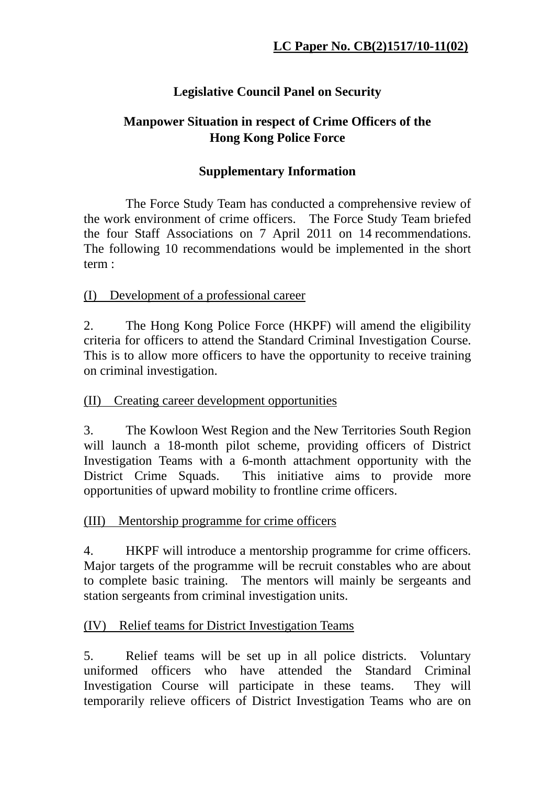# **Legislative Council Panel on Security**

## **Manpower Situation in respect of Crime Officers of the Hong Kong Police Force**

## **Supplementary Information**

 The Force Study Team has conducted a comprehensive review of the work environment of crime officers. The Force Study Team briefed the four Staff Associations on 7 April 2011 on 14 recommendations. The following 10 recommendations would be implemented in the short term :

(I) Development of a professional career

2. The Hong Kong Police Force (HKPF) will amend the eligibility criteria for officers to attend the Standard Criminal Investigation Course. This is to allow more officers to have the opportunity to receive training on criminal investigation.

### (II) Creating career development opportunities

3. The Kowloon West Region and the New Territories South Region will launch a 18-month pilot scheme, providing officers of District Investigation Teams with a 6-month attachment opportunity with the District Crime Squads. This initiative aims to provide more opportunities of upward mobility to frontline crime officers.

### (III) Mentorship programme for crime officers

4. HKPF will introduce a mentorship programme for crime officers. Major targets of the programme will be recruit constables who are about to complete basic training. The mentors will mainly be sergeants and station sergeants from criminal investigation units.

### (IV) Relief teams for District Investigation Teams

5. Relief teams will be set up in all police districts. Voluntary uniformed officers who have attended the Standard Criminal Investigation Course will participate in these teams. They will temporarily relieve officers of District Investigation Teams who are on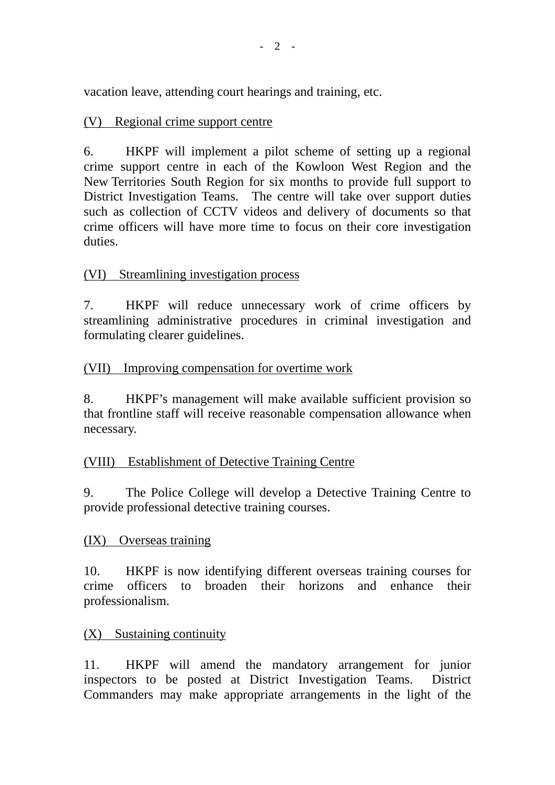vacation leave, attending court hearings and training, etc.

## (V) Regional crime support centre

6. HKPF will implement a pilot scheme of setting up a regional crime support centre in each of the Kowloon West Region and the New Territories South Region for six months to provide full support to District Investigation Teams. The centre will take over support duties such as collection of CCTV videos and delivery of documents so that crime officers will have more time to focus on their core investigation duties.

## (VI) Streamlining investigation process

7. HKPF will reduce unnecessary work of crime officers by streamlining administrative procedures in criminal investigation and formulating clearer guidelines.

## (VII) Improving compensation for overtime work

8. HKPF's management will make available sufficient provision so that frontline staff will receive reasonable compensation allowance when necessary.

## (VIII) Establishment of Detective Training Centre

9. The Police College will develop a Detective Training Centre to provide professional detective training courses.

### (IX) Overseas training

10. HKPF is now identifying different overseas training courses for crime officers to broaden their horizons and enhance their professionalism.

### (X) Sustaining continuity

11. HKPF will amend the mandatory arrangement for junior inspectors to be posted at District Investigation Teams. District Commanders may make appropriate arrangements in the light of the